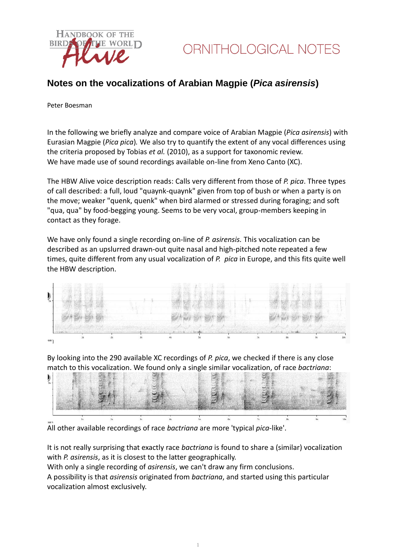

## **Notes on the vocalizations of Arabian Magpie (***Pica asirensis***)**

Peter Boesman

In the following we briefly analyze and compare voice of Arabian Magpie (*Pica asirensis*) with Eurasian Magpie (*Pica pica*)*.* We also try to quantify the extent of any vocal differences using the criteria proposed by Tobias *et al.* (2010), as a support for taxonomic review. We have made use of sound recordings available on-line from Xeno Canto (XC).

The HBW Alive voice description reads: Calls very different from those of *P. pica*. Three types of call described: a full, loud "quaynk-quaynk" given from top of bush or when a party is on the move; weaker "quenk, quenk" when bird alarmed or stressed during foraging; and soft "qua, qua" by food-begging young. Seems to be very vocal, group-members keeping in contact as they forage.

We have only found a single recording on-line of *P. asirensis.* This vocalization can be described as an upslurred drawn-out quite nasal and high-pitched note repeated a few times, quite different from any usual vocalization of *P. pica* in Europe, and this fits quite well the HBW description.



By looking into the 290 available XC recordings of *P. pica*, we checked if there is any close match to this vocalization. We found only a single similar vocalization, of race *bactriana*:



All other available recordings of race *bactriana* are more 'typical *pica*-like'.

It is not really surprising that exactly race *bactriana* is found to share a (similar) vocalization with *P. asirensis*, as it is closest to the latter geographically.

With only a single recording of *asirensis*, we can't draw any firm conclusions.

A possibility is that *asirensis* originated from *bactriana*, and started using this particular vocalization almost exclusively.